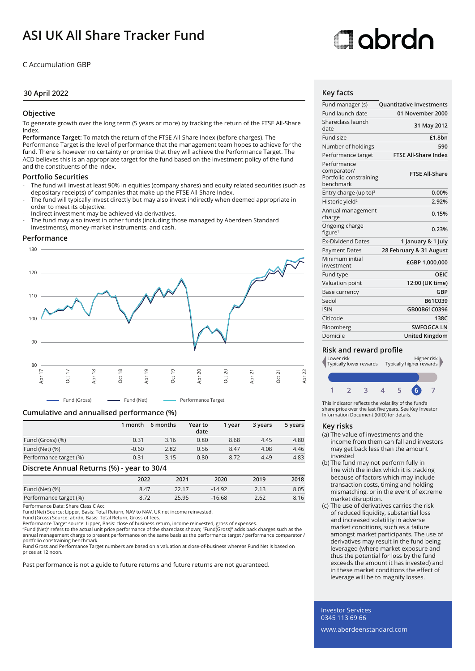# **ASI UK All Share Tracker Fund**

C Accumulation GBP

# **30 April 2022**

# **Objective**

To generate growth over the long term (5 years or more) by tracking the return of the FTSE All-Share Index.

**Performance Target:** To match the return of the FTSE All-Share Index (before charges). The Performance Target is the level of performance that the management team hopes to achieve for the fund. There is however no certainty or promise that they will achieve the Performance Target. The ACD believes this is an appropriate target for the fund based on the investment policy of the fund and the constituents of the index.

# **Portfolio Securities**

- The fund will invest at least 90% in equities (company shares) and equity related securities (such as depositary receipts) of companies that make up the FTSE All-Share Index.
- The fund will typically invest directly but may also invest indirectly when deemed appropriate in order to meet its objective.
- Indirect investment may be achieved via derivatives.
- The fund may also invest in other funds (including those managed by Aberdeen Standard Investments), money-market instruments, and cash.

### **Performance**



**Cumulative and annualised performance (%)**

|                        | 1 month | 6 months | Year to<br>date | 1 vear | 3 years | 5 years |
|------------------------|---------|----------|-----------------|--------|---------|---------|
| Fund (Gross) (%)       | 0.31    | 3.16     | 0.80            | 8.68   | 4.45    | 4.80    |
| Fund (Net) (%)         | $-0.60$ | 2.82     | 0.56            | 8.47   | 4.08    | 4.46    |
| Performance target (%) | 0.31    | 3.15     | 0.80            | 8.72   | 4.49    | 4.83    |

### **Discrete Annual Returns (%) - year to 30/4**

|                        | 2022 | 2021  | 2020     | 2019 | 2018 |
|------------------------|------|-------|----------|------|------|
| Fund (Net) (%)         | 8.47 |       | $-14.92$ | 2.13 | 8.05 |
| Performance target (%) |      | 25.95 | $-16.68$ | 2.62 | 8.16 |

Performance Data: Share Class C Acc

Fund (Net) Source: Lipper, Basis: Total Return, NAV to NAV, UK net income reinvested.

Fund (Gross) Source: abrdn, Basis: Total Return, Gross of fees. Performance Target source: Lipper, Basis: close of business return, income reinvested, gross of expenses.

"Fund (Net)" refers to the actual unit price performance of the shareclass shown; "Fund(Gross)" adds back charges such as the<br>annual management charge to present performance on the same basis as the performance target / pe portfolio constraining benchmark.

Fund Gross and Performance Target numbers are based on a valuation at close-of-business whereas Fund Net is based on prices at 12 noon.

Past performance is not a guide to future returns and future returns are not guaranteed.

# Oobrdc

# **Key facts**

| Fund manager (s)                                                  | <b>Quantitative Investments</b> |
|-------------------------------------------------------------------|---------------------------------|
| Fund launch date                                                  | 01 November 2000                |
| Shareclass launch<br>date                                         | 31 May 2012                     |
| Fund size                                                         | £1.8bn                          |
| Number of holdings                                                | 590                             |
| Performance target                                                | <b>FTSE All-Share Index</b>     |
| Performance<br>comparator/<br>Portfolio constraining<br>henchmark | <b>FTSE All-Share</b>           |
| Entry charge (up to) $3$                                          | 0.00%                           |
| Historic yield <sup>2</sup>                                       | 2.92%                           |
| Annual management<br>charge                                       | 0.15%                           |
| Ongoing charge<br>figure <sup>1</sup>                             | 0.23%                           |
| <b>Ex-Dividend Dates</b>                                          | 1 January & 1 July              |
| <b>Payment Dates</b>                                              | 28 February & 31 August         |
| Minimum initial<br>investment                                     | £GBP 1,000,000                  |
| Fund type                                                         | OEIC                            |
| Valuation point                                                   | 12:00 (UK time)                 |
| Base currency                                                     | GBP                             |
| Sedol                                                             | B61C039                         |
| <b>ISIN</b>                                                       | GB00B61C0396                    |
| Citicode                                                          | 138C                            |
| Bloomberg                                                         | <b>SWFOGCA LN</b>               |
| Domicile                                                          | <b>United Kingdom</b>           |

# **Risk and reward profile**



This indicator reflects the volatility of the fund's share price over the last five years. See Key Investor Information Document (KIID) for details.

### **Key risks**

- (a) The value of investments and the income from them can fall and investors may get back less than the amount invested
- (b) The fund may not perform fully in line with the index which it is tracking because of factors which may include transaction costs, timing and holding mismatching, or in the event of extreme market disruption.
- (c) The use of derivatives carries the risk of reduced liquidity, substantial loss and increased volatility in adverse market conditions, such as a failure amongst market participants. The use of derivatives may result in the fund being leveraged (where market exposure and thus the potential for loss by the fund exceeds the amount it has invested) and in these market conditions the effect of leverage will be to magnify losses.

Investor Services 0345 113 69 66

www.aberdeenstandard.com